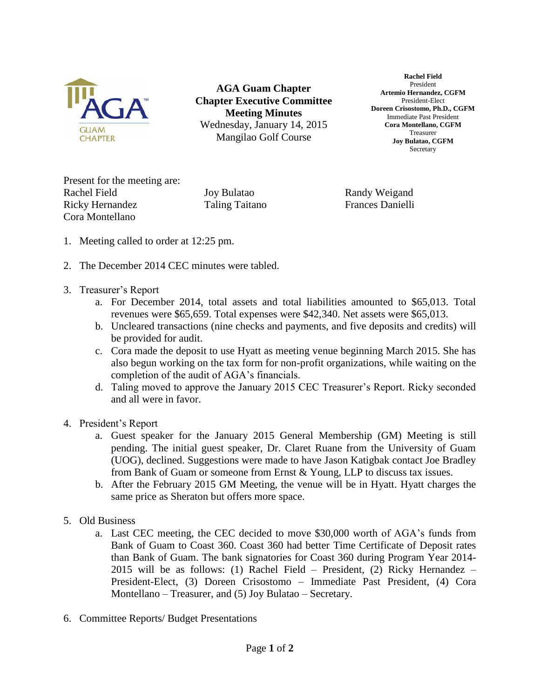

**AGA Guam Chapter Chapter Executive Committee Meeting Minutes** Wednesday, January 14, 2015 Mangilao Golf Course

**Rachel Field** President **Artemio Hernandez, CGFM** President-Elect **Doreen Crisostomo, Ph.D., CGFM** Immediate Past President **Cora Montellano, CGFM** Treasurer **Joy Bulatao, CGFM Secretary** 

Present for the meeting are: Rachel Field Joy Bulatao Randy Weigand Ricky Hernandez Taling Taitano Frances Danielli Cora Montellano

- 1. Meeting called to order at 12:25 pm.
- 2. The December 2014 CEC minutes were tabled.
- 3. Treasurer's Report
	- a. For December 2014, total assets and total liabilities amounted to \$65,013. Total revenues were \$65,659. Total expenses were \$42,340. Net assets were \$65,013.
	- b. Uncleared transactions (nine checks and payments, and five deposits and credits) will be provided for audit.
	- c. Cora made the deposit to use Hyatt as meeting venue beginning March 2015. She has also begun working on the tax form for non-profit organizations, while waiting on the completion of the audit of AGA's financials.
	- d. Taling moved to approve the January 2015 CEC Treasurer's Report. Ricky seconded and all were in favor.
- 4. President's Report
	- a. Guest speaker for the January 2015 General Membership (GM) Meeting is still pending. The initial guest speaker, Dr. Claret Ruane from the University of Guam (UOG), declined. Suggestions were made to have Jason Katigbak contact Joe Bradley from Bank of Guam or someone from Ernst & Young, LLP to discuss tax issues.
	- b. After the February 2015 GM Meeting, the venue will be in Hyatt. Hyatt charges the same price as Sheraton but offers more space.
- 5. Old Business
	- a. Last CEC meeting, the CEC decided to move \$30,000 worth of AGA's funds from Bank of Guam to Coast 360. Coast 360 had better Time Certificate of Deposit rates than Bank of Guam. The bank signatories for Coast 360 during Program Year 2014- 2015 will be as follows: (1) Rachel Field – President, (2) Ricky Hernandez – President-Elect, (3) Doreen Crisostomo – Immediate Past President, (4) Cora Montellano – Treasurer, and (5) Joy Bulatao – Secretary.
- 6. Committee Reports/ Budget Presentations